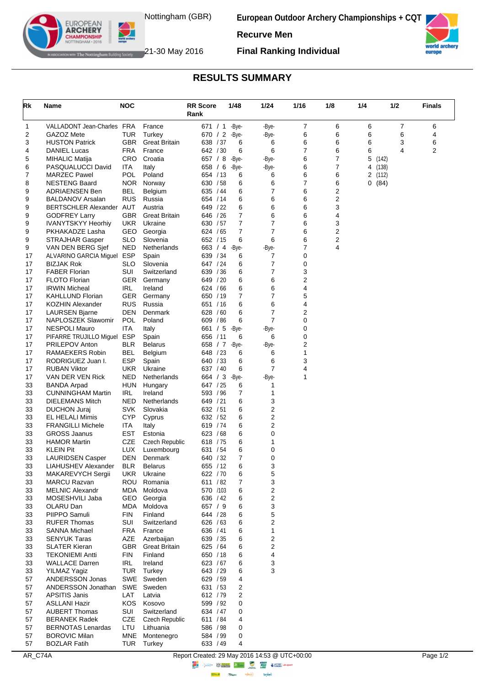

**European Outdoor Archery Championships + CQT**

**Recurve Men**



The Nottingham Building Society 21-30 May 2016

EUROPEAN **ARCHERY** 

**Final Ranking Individual**

## **RESULTS SUMMARY**

| Rk       | Name                                            | <b>NOC</b>        |                       | <b>RR Score</b><br>Rank | 1/48           | 1/24           | 1/16   | 1/8                 | 1/4                      | 1/2 | <b>Finals</b> |
|----------|-------------------------------------------------|-------------------|-----------------------|-------------------------|----------------|----------------|--------|---------------------|--------------------------|-----|---------------|
| 1        | VALLADONT Jean-Charles FRA                      |                   | France                | 671 / 1                 | -Bye-          | -Bye-          | 7      | 6                   | 6                        | 7   | 6             |
| 2        | GAZOZ Mete                                      | TUR               | Turkey                | 670 / 2                 | -Bye-          | -Bye-          | 6      | 6                   | 6                        | 6   | 4             |
| 3        | <b>HUSTON Patrick</b>                           | <b>GBR</b>        | <b>Great Britain</b>  | 638 / 37                | 6              | 6              | 6      | 6                   | 6                        | 3   | 6             |
| 4        | <b>DANIEL Lucas</b>                             | <b>FRA</b>        | France                | 642 / 30                | 6              | 6              | 7      | 6                   | 6                        | 4   | 2             |
| 5<br>6   | MIHALIC Matija<br>PASQUALUCCI David             | <b>CRO</b><br>ITA | Croatia<br>Italy      | 657 / 8<br>658 / 6      | -Bye-<br>-Bye- | -Bye-<br>-Bye- | 6<br>6 | $\overline{7}$<br>7 | 5<br>(142)<br>4<br>(138) |     |               |
| 7        | <b>MARZEC Pawel</b>                             | POL               | Poland                | 654 / 13                | 6              | 6              | 6      | 6                   | 2<br>(112)               |     |               |
| 8        | <b>NESTENG Baard</b>                            | <b>NOR</b>        | Norway                | 630 / 58                | 6              | 6              | 7      | 6                   | 0(84)                    |     |               |
| 9        | <b>ADRIAENSEN Ben</b>                           | <b>BEL</b>        | Belgium               | 635 / 44                | 6              | 7              | 6      | 2                   |                          |     |               |
| 9        | <b>BALDANOV Arsalan</b>                         | RUS               | Russia                | 654 / 14                | 6              | 6              | 6      | 2                   |                          |     |               |
| 9        | BERTSCHLER Alexander AUT                        |                   | Austria               | 649 / 22                | 6              | 6              | 6      | 3                   |                          |     |               |
| 9        | <b>GODFREY Larry</b>                            | <b>GBR</b>        | <b>Great Britain</b>  | 646 / 26                | 7              | 6              | 6      | 4                   |                          |     |               |
| 9        | <b>IVANYTSKYY Heorhiy</b>                       | <b>UKR</b>        | Ukraine               | 630 / 57                | 7              | 7              | 6      | 3                   |                          |     |               |
| 9        | PKHAKADZE Lasha                                 | GEO               | Georgia               | 624 / 65                | 7              | 7              | 6      | 2                   |                          |     |               |
| 9        | STRAJHAR Gasper                                 | <b>SLO</b>        | Slovenia              | 652 / 15                | 6              | 6              | 6<br>7 | 2<br>4              |                          |     |               |
| 9<br>17  | VAN DEN BERG Sjef<br>ALVARINO GARCIA Miguel     | <b>NED</b><br>ESP | Netherlands<br>Spain  | 663 / 4<br>639 / 34     | -Bye-<br>6     | -Bye-<br>7     | 0      |                     |                          |     |               |
| 17       | <b>BIZJAK Rok</b>                               | <b>SLO</b>        | Slovenia              | 647 / 24                | 6              | 7              | 0      |                     |                          |     |               |
| 17       | <b>FABER Florian</b>                            | SUI               | Switzerland           | 639 / 36                | 6              | 7              | 3      |                     |                          |     |               |
| 17       | <b>FLOTO Florian</b>                            | <b>GER</b>        | Germany               | 649 / 20                | 6              | 6              | 2      |                     |                          |     |               |
| 17       | <b>IRWIN Micheal</b>                            | <b>IRL</b>        | Ireland               | 624 / 66                | 6              | 6              | 4      |                     |                          |     |               |
| 17       | <b>KAHLLUND Florian</b>                         | <b>GER</b>        | Germany               | 650 / 19                | 7              | 7              | 5      |                     |                          |     |               |
| 17       | <b>KOZHIN Alexander</b>                         | RUS               | Russia                | 651 / 16                | 6              | 6              | 4      |                     |                          |     |               |
| 17       | <b>LAURSEN Bjarne</b>                           | DEN               | Denmark               | 628 / 60                | 6              | 7              | 2      |                     |                          |     |               |
| 17       | NAPLOSZEK Slawomir                              | <b>POL</b>        | Poland                | 609 / 86                | 6              | $\overline{7}$ | 0      |                     |                          |     |               |
| 17<br>17 | <b>NESPOLI Mauro</b><br>PIFARRE TRUJILLO Miguel | ITA<br><b>ESP</b> | Italy<br>Spain        | 661 / 5<br>656 / 11     | -Bye-<br>6     | -Bye-<br>6     | 0<br>0 |                     |                          |     |               |
| 17       | <b>PRILEPOV Anton</b>                           | <b>BLR</b>        | <b>Belarus</b>        | 658 / 7                 | -Bye-          | -Bye-          | 2      |                     |                          |     |               |
| 17       | RAMAEKERS Robin                                 | <b>BEL</b>        | Belgium               | 648 / 23                | 6              | 6              | 1      |                     |                          |     |               |
| 17       | RODRIGUEZ Juan I.                               | <b>ESP</b>        | Spain                 | 640 / 33                | 6              | 6              | 3      |                     |                          |     |               |
| 17       | <b>RUBAN Viktor</b>                             | <b>UKR</b>        | Ukraine               | 637 / 40                | 6              | $\overline{7}$ | 4      |                     |                          |     |               |
| 17       | VAN DER VEN Rick                                | <b>NED</b>        | Netherlands           | 664 / 3                 | -Bye-          | -Bye-          | 1      |                     |                          |     |               |
| 33       | <b>BANDA Arpad</b>                              | <b>HUN</b>        | Hungary               | 647 / 25                | 6              | 1              |        |                     |                          |     |               |
| 33       | <b>CUNNINGHAM Martin</b>                        | <b>IRL</b>        | Ireland               | 593 / 96                | 7              | 1              |        |                     |                          |     |               |
| 33       | <b>DIELEMANS Mitch</b>                          | <b>NED</b>        | Netherlands           | 649 / 21                | 6<br>6         | 3<br>2         |        |                     |                          |     |               |
| 33<br>33 | <b>DUCHON Juraj</b><br><b>EL HELALI Mimis</b>   | SVK<br><b>CYP</b> | Slovakia<br>Cyprus    | 632 / 51<br>632 / 52    | 6              | 2              |        |                     |                          |     |               |
| 33       | <b>FRANGILLI Michele</b>                        | <b>ITA</b>        | Italy                 | 619 / 74                | 6              | 2              |        |                     |                          |     |               |
| 33       | <b>GROSS Jaanus</b>                             | <b>EST</b>        | Estonia               | 623 / 68                | 6              | 0              |        |                     |                          |     |               |
| 33       | <b>HAMOR Martin</b>                             | CZE               | <b>Czech Republic</b> | 618 / 75                | 6              | 1              |        |                     |                          |     |               |
| 33       | <b>KLEIN Pit</b>                                | <b>LUX</b>        | Luxembourg            | 631 / 54                | 6              | 0              |        |                     |                          |     |               |
| 33       | <b>LAURIDSEN Casper</b>                         | DEN               | Denmark               | 640 / 32                | $\overline{7}$ | 0              |        |                     |                          |     |               |
| 33       | LIAHUSHEV Alexander                             | <b>BLR</b>        | <b>Belarus</b>        | 655 / 12                | 6              | 3              |        |                     |                          |     |               |
| 33       | MAKAREVYCH Sergii                               | <b>UKR</b>        | Ukraine               | 622 / 70                | 6              | 5              |        |                     |                          |     |               |
| 33<br>33 | <b>MARCU Razvan</b><br><b>MELNIC Alexandr</b>   | <b>ROU</b><br>MDA | Romania<br>Moldova    | 611 / 82<br>570 /103    | 7<br>6         | 3<br>2         |        |                     |                          |     |               |
| 33       | MOSESHVILI Jaba                                 | GEO               | Georgia               | 636 / 42                | 6              | 2              |        |                     |                          |     |               |
| 33       | OLARU Dan                                       | MDA               | Moldova               | 657 / 9                 | 6              | 3              |        |                     |                          |     |               |
| 33       | PIIPPO Samuli                                   | <b>FIN</b>        | Finland               | 644 / 28                | 6              | 5              |        |                     |                          |     |               |
| 33       | <b>RUFER Thomas</b>                             | SUI               | Switzerland           | 626 / 63                | 6              | 2              |        |                     |                          |     |               |
| 33       | <b>SANNA Michael</b>                            | <b>FRA</b>        | France                | 636 / 41                | 6              | 1              |        |                     |                          |     |               |
| 33       | <b>SENYUK Taras</b>                             | AZE               | Azerbaijan            | 639 / 35                | 6              | 2              |        |                     |                          |     |               |
| 33       | <b>SLATER Kieran</b>                            | <b>GBR</b>        | <b>Great Britain</b>  | 625 / 64                | 6              | 2              |        |                     |                          |     |               |
| 33       | <b>TEKONIEMI Antti</b>                          | <b>FIN</b>        | Finland               | 650 / 18                | 6              | 4              |        |                     |                          |     |               |
| 33<br>33 | <b>WALLACE Darren</b><br>YILMAZ Yagiz           | <b>IRL</b><br>TUR | Ireland<br>Turkey     | 623 / 67<br>643 / 29    | 6<br>6         | 3<br>3         |        |                     |                          |     |               |
| 57       | <b>ANDERSSON Jonas</b>                          |                   | SWE Sweden            | 629 / 59                | 4              |                |        |                     |                          |     |               |
| 57       | ANDERSSON Jonathan                              | SWE               | Sweden                | 631 / 53                | 2              |                |        |                     |                          |     |               |
| 57       | <b>APSITIS Janis</b>                            | LAT               | Latvia                | 612 / 79                | 2              |                |        |                     |                          |     |               |
| 57       | <b>ASLLANI Hazir</b>                            | KOS.              | Kosovo                | 599 / 92                | 0              |                |        |                     |                          |     |               |
| 57       | <b>AUBERT Thomas</b>                            | SUI               | Switzerland           | 634 / 47                | 0              |                |        |                     |                          |     |               |
| 57       | <b>BERANEK Radek</b>                            | CZE               | Czech Republic        | 611 / 84                | 4              |                |        |                     |                          |     |               |
| 57       | <b>BERNOTAS Lenardas</b>                        | LTU               | Lithuania             | 586 / 98                | 0              |                |        |                     |                          |     |               |
| 57       | <b>BOROVIC Milan</b>                            | <b>MNE</b>        | Montenegro            | 584 / 99                | 0              |                |        |                     |                          |     |               |
| 57       | <b>BOZLAR Fatih</b>                             | <b>TUR</b>        | Turkey                | 633 / 49                | 4              |                |        |                     |                          |     |               |

AR\_C74A Report Created: 29 May 2016 14:53 @ UTC+00:00 Page 1/2